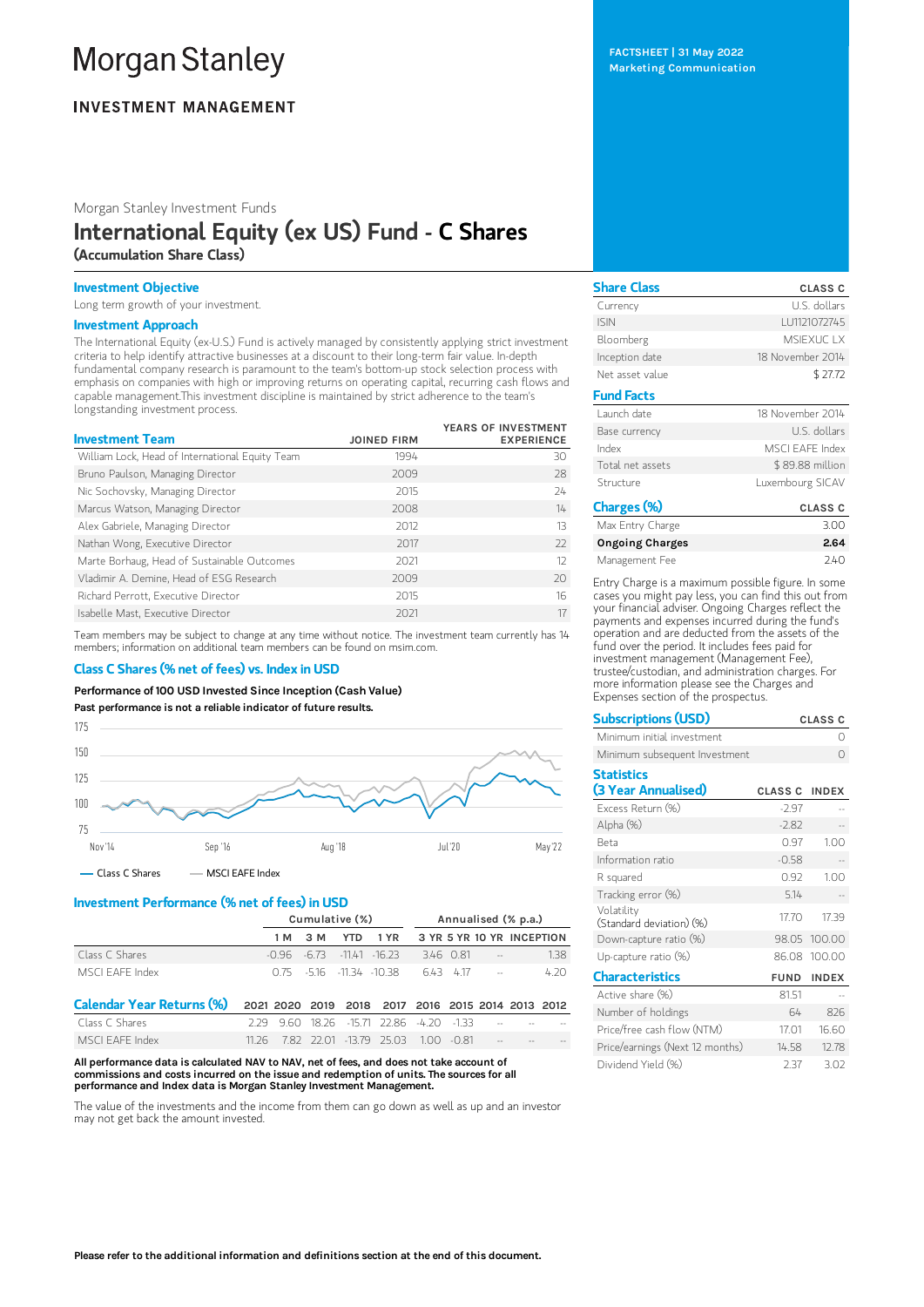# **Morgan Stanley**

## **INVESTMENT MANAGEMENT**

Morgan Stanley Investment Funds

# International Equity (ex US) Fund - C Shares (Accumulation Share Class)

## Investment Objective

Long term growth of your investment.

## Investment Approach

The International Equity (ex-U.S.) Fund is actively managed by consistently applying strict investment criteria to help identify attractive businesses at a discount to their long-term fair value. In-depth fundamental company research is paramount to the team's bottom-up stock selection process with emphasis on companies with high or improving returns on operating capital, recurring cash flows and capable management.This investment discipline is maintained by strict adherence to the team's longstanding investment process.

| <b>Investment Team</b>                          | <b>JOINED FIRM</b> | YEARS OF INVESTMENT<br><b>EXPERIENCE</b> |
|-------------------------------------------------|--------------------|------------------------------------------|
| William Lock, Head of International Equity Team | 1994               | 30                                       |
| Bruno Paulson, Managing Director                | 2009               | 28                                       |
| Nic Sochovsky, Managing Director                | 2015               | 24                                       |
| Marcus Watson, Managing Director                | 2008               | 14                                       |
| Alex Gabriele, Managing Director                | 2012               | 13                                       |
| Nathan Wong, Executive Director                 | 2017               | $22$                                     |
| Marte Borhaug, Head of Sustainable Outcomes     | 2021               | 12                                       |
| Vladimir A. Demine, Head of ESG Research        | 2009               | 20                                       |
| Richard Perrott, Executive Director             | 2015               | 16                                       |
| Isabelle Mast, Executive Director               | 2021               | 17                                       |

Team members may be subject to change at any time without notice. The investment team currently has 14 members; information on additional team members can be found on msim.com.

## Class C Shares (% net of fees) vs. Index in USD

Performance of100 USD Invested Since Inception (Cash Value)





## Investment Performance (% net of fees) in USD

|                 | Cumulative (%) |  |  | Annualised (% p.a.)                  |  |        |                   |                                      |
|-----------------|----------------|--|--|--------------------------------------|--|--------|-------------------|--------------------------------------|
|                 |                |  |  |                                      |  |        |                   | 1M 3M YTD 1YR 3YR 5YR 10YR INCEPTION |
| Class C Shares  |                |  |  | $-0.96$ $-6.73$ $-1141$ $-16.23$     |  | 346081 | <b>Contractor</b> | 138                                  |
| MSCI FAFF Index |                |  |  | 0.75 - 516 - 11.34 - 10.38 643 417 - |  |        |                   | 4.20                                 |

| Calendar Year Returns (%) 2021 2020 2019 2018 2017 2016 2015 2014 2013 2012 |  |  |                                                        |  |  |  |
|-----------------------------------------------------------------------------|--|--|--------------------------------------------------------|--|--|--|
| Class C Shares                                                              |  |  | $2.29$ 9.60 18.26 -15.71 22.86 -4.20 -1.33 - - - - - - |  |  |  |
| MSCI FAFF Index                                                             |  |  | 11.26 7.82 22.01 -13.79 25.03 1.00 -0.81 --            |  |  |  |

All performance data is calculated NAV to NAV, net of fees, and does not take account of commissions and costs incurred on the issue and redemption of units. The sources for all performance and Index data is Morgan Stanley Investment Management.

The value of the investments and the income from them can go down as well as up and an investor may not get back the amount invested.

| <b>Share Class</b> | <b>CLASS C</b>         |
|--------------------|------------------------|
| Currency           | U.S. dollars           |
| <b>ISIN</b>        | LU1121072745           |
| Bloomberg          | <b>MSIFXUCTX</b>       |
| Inception date     | 18 November 2014       |
| Net asset value    | \$27.72                |
| <b>Fund Facts</b>  |                        |
| Launch date        | 18 November 2014       |
| Base currency      | U.S. dollars           |
| Index              | <b>MSCI EAFE Index</b> |
| Total net assets   | \$89.88 million        |
| Structure          | Luxembourg SICAV       |
| Charges (%)        | <b>CLASS C</b>         |
| $\cdots$ $\cdots$  | $\cap$ $\cap$          |

| Max Entry Charge       | 3.00 |
|------------------------|------|
| <b>Ongoing Charges</b> | 2.64 |
| Management Fee         | 240  |

Entry Charge is a maximum possible figure. In some cases you might pay less, you can find this out from your financial adviser. Ongoing Charges reflect the payments and expenses incurred during the fund's operation and are deducted from the assets of the fund over the period. It includes fees paid for investment management (Management Fee), trustee/custodian, and administration charges. For more information please see the Charges and Expenses section of the prospectus.

| <b>Subscriptions (USD)</b><br><b>CLASS C</b> |                |              |  |  |
|----------------------------------------------|----------------|--------------|--|--|
| Minimum initial investment                   |                |              |  |  |
| Minimum subsequent Investment                |                | ∩            |  |  |
| <b>Statistics</b>                            |                |              |  |  |
| (3 Year Annualised)                          | <b>CLASS C</b> | <b>INDEX</b> |  |  |
| Excess Return (%)                            | $-2.97$        |              |  |  |
| Alpha (%)                                    | $-2.82$        |              |  |  |
| <b>Beta</b>                                  | 0.97           | 1.00         |  |  |
| Information ratio                            | $-0.58$        |              |  |  |
| R squared                                    | 0.92           | 1.00         |  |  |
| Tracking error (%)                           | 5.14           |              |  |  |
| Volatility<br>(Standard deviation) (%)       | 17.70          | 17.39        |  |  |
| Down-capture ratio (%)                       | 98.05          | 100.00       |  |  |
| Up-capture ratio (%)                         | 86.08          | 100.00       |  |  |
| <b>Characteristics</b>                       | <b>FUND</b>    | <b>INDEX</b> |  |  |
| Active share (%)                             | 81.51          |              |  |  |
| Number of holdings                           | 64             | 826          |  |  |
| Price/free cash flow (NTM)                   | 17 01          | 16.60        |  |  |
| Price/earnings (Next 12 months)              | 14.58          | 12.78        |  |  |
| Dividend Yield (%)                           | 2.37           | 3.02         |  |  |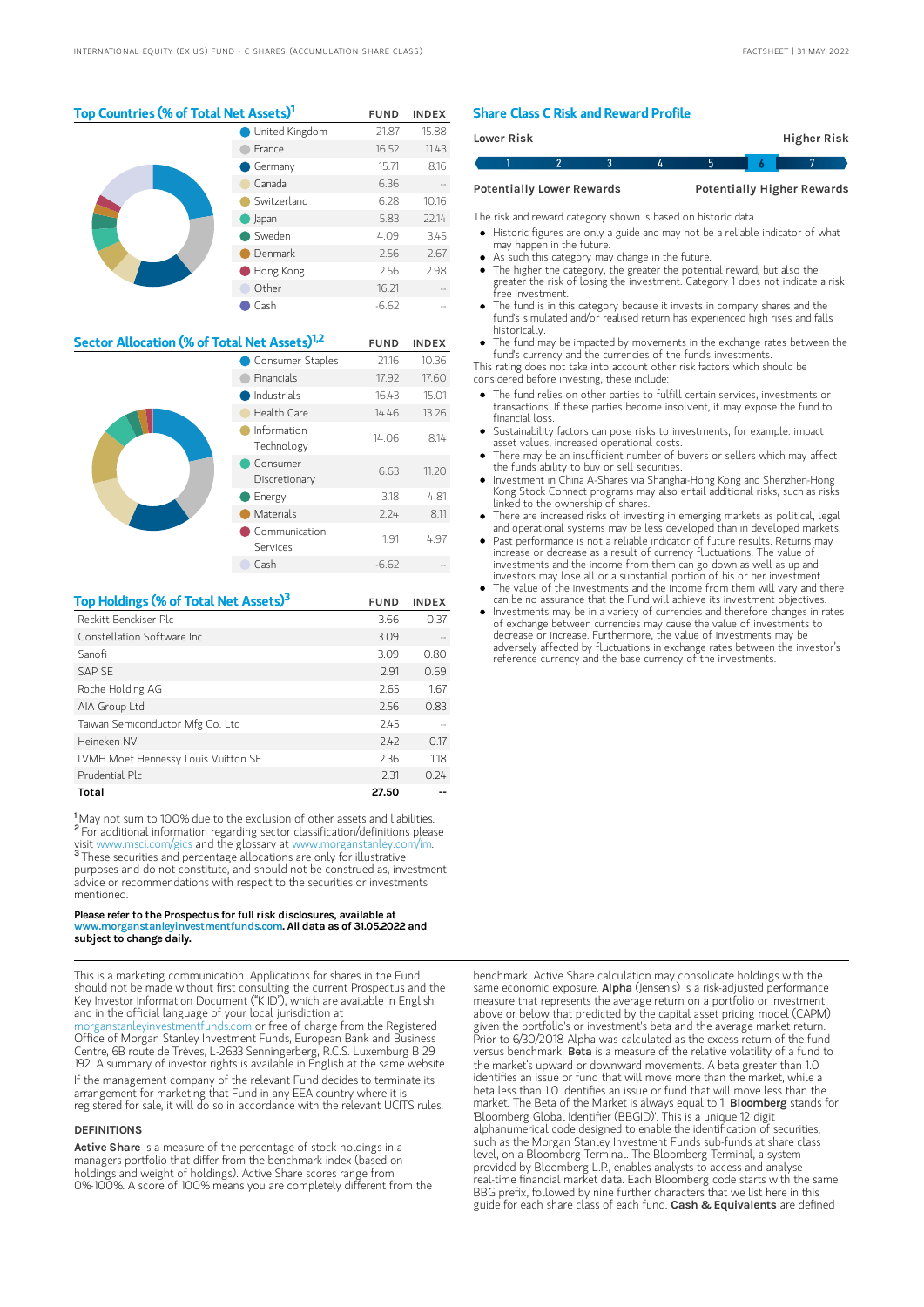## Top Countries (% of Total Net Assets)<sup>1</sup> FUND INDEX

|  | <b>United Kingdom</b> | 21.87   | 15.88 |
|--|-----------------------|---------|-------|
|  | France                | 16.52   | 11.43 |
|  | Germany               | 15.71   | 8.16  |
|  | Canada                | 6.36    |       |
|  | Switzerland           | 6.28    | 10.16 |
|  | Japan                 | 5.83    | 22.14 |
|  | Sweden                | 4.09    | 3.45  |
|  | Denmark               | 2.56    | 2.67  |
|  | Hong Kong             | 2.56    | 2.98  |
|  | Other                 | 16.21   |       |
|  | Cash                  | $-6.62$ |       |

| Sector Allocation (% of Total Net Assets) <sup>1,2</sup> |                           | <b>FUND</b> | <b>INDEX</b> |
|----------------------------------------------------------|---------------------------|-------------|--------------|
|                                                          | Consumer Staples          | 21.16       | 10.36        |
|                                                          | Financials                | 17.92       | 17.60        |
|                                                          | Industrials               | 16.43       | 15.01        |
|                                                          | Health Care               | 14.46       | 13.26        |
|                                                          | Information<br>Technology | 14.06       | 8.14         |
|                                                          | Consumer<br>Discretionary | 6.63        | 11.20        |
|                                                          | Energy                    | 3.18        | 4.81         |
|                                                          | <b>Materials</b>          | 2.24        | 8.11         |
|                                                          | Communication<br>Services | 1.91        | 4.97         |
|                                                          | Cash                      | $-6.62$     |              |

| Top Holdings (% of Total Net Assets) <sup>3</sup> | <b>FUND</b> | <b>INDEX</b> |
|---------------------------------------------------|-------------|--------------|
| Reckitt Benckiser Plc                             | 3.66        | 0.37         |
| Constellation Software Inc.                       | 3.09        |              |
| Sanofi                                            | 3.09        | 0.80         |
| SAP SF                                            | 2.91        | 0.69         |
| Roche Holding AG                                  | 2.65        | 1.67         |
| AIA Group Ltd                                     | 2.56        | 0.83         |
| Taiwan Semiconductor Mfg Co. Ltd                  | 2.45        |              |
| Heineken NV                                       | 7.47        | 0.17         |
| LVMH Moet Hennessy Louis Vuitton SE               | 2.36        | 1.18         |
| Prudential Plc                                    | 2.31        | 0.24         |
| Total                                             | 27.50       |              |

<sup>1</sup>May not sum to 100% due to the exclusion of other assets and liabilities. <sup>2</sup> For additional information regarding sector classification/definitions please visit www.msci.com/gics and the glossary at www.morganstanley.com/im. <sup>3</sup> These securities and percentage allocations are only for illustrative purposes and do not constitute, and should not be construed as, investment advice or recommendations with respect to the securities or investments mentioned.

#### Please refer to the Prospectus for full risk disclosures, available at ww.morganstanleyinvestmentfunds.com. All data as of 31.05.2022 and subject to change daily.

This is a marketing communication. Applications for shares in the Fund should not be made without first consulting the current Prospectus and the Key Investor Information Document ("KIID"), which are available in English and in the official language of your local jurisdiction at

[morganstanleyinvestmentfunds.com](https://www.morganstanley.com/im/msinvf/index.html) or free of charge from the Registered Office of Morgan Stanley Investment Funds, European Bank and Business Centre, 6B route de Trèves, L-2633 Senningerberg, R.C.S. Luxemburg B 29 192. A summary of investor rights is available in English at the same website.

If the management company of the relevant Fund decides to terminate its arrangement for marketing that Fund in any EEA country where it is registered for sale, it will do so in accordance with the relevant UCITS rules.

#### **DEFINITIONS**

Active Share is a measure of the percentage of stock holdings in a managers portfolio that differ from the benchmark index (based on holdings and weight of holdings). Active Share scores range from 0%-100%. A score of 100% means you are completely different from the

## Share Class C Risk and Reward Profile

| <b>Lower Risk</b>                |  |  |  |                                   | Higher Risk |  |  |
|----------------------------------|--|--|--|-----------------------------------|-------------|--|--|
|                                  |  |  |  |                                   |             |  |  |
| <b>Potentially Lower Rewards</b> |  |  |  | <b>Potentially Higher Rewards</b> |             |  |  |

The risk and reward category shown is based on historic data.

Historic figures are only a guide and may not be a reliable indicator of what may happen in the future.

- As such this category may change in the future.
- The higher the category, the greater the potential reward, but also the
- greater the risk of losing the investment. Category 1 does not indicate a risk free investment.
- The fund is in this category because it invests in company shares and the fund's simulated and/or realised return has experienced high rises and falls historically.
- The fund may be impacted by movements in the exchange rates between the fund's currency and the currencies of the fund's investments.

This rating does not take into account other risk factors which should be considered before investing, these include:

- The fund relies on other parties to fulfill certain services, investments or transactions. If these parties become insolvent, it may expose the fund to financial loss.
- Sustainability factors can pose risks to investments, for example: impact asset values, increased operational costs.
- There may be an insufficient number of buyers or sellers which may affect the funds ability to buy or sell securities.
- Investment in China A-Shares via Shanghai-Hong Kong and Shenzhen-Hong Kong Stock Connect programs may also entail additional risks, such as risks linked to the ownership of shares.
- There are increased risks of investing in emerging markets as political, legal and operational systems may be less developed than in developed markets.
- Past performance is not a reliable indicator of future results. Returns may increase or decrease as a result of currency fluctuations. The value of investments and the income from them can go down as well as up and investors may lose all or a substantial portion of his or her investment.
- The value of the investments and the income from them will vary and there can be no assurance that the Fund will achieve its investment objectives.
- Investments may be in a variety of currencies and therefore changes in rates of exchange between currencies may cause the value of investments to decrease or increase. Furthermore, the value of investments may be adversely affected by fluctuations in exchange rates between the investor's reference currency and the base currency of the investments.

benchmark. Active Share calculation may consolidate holdings with the same economic exposure. Alpha (Jensen's) is a risk-adjusted performance measure that represents the average return on a portfolio or investment above or below that predicted by the capital asset pricing model (CAPM) given the portfolio's or investment's beta and the average market return. Prior to 6/30/2018 Alpha was calculated as the excess return of the fund versus benchmark. Beta is a measure of the relative volatility of a fund to the market's upward or downward movements. A beta greater than 1.0 identifies an issue or fund that will move more than the market, while a beta less than 1.0 identifies an issue or fund that will move less than the<br>market. The Beta of the Market is always equal to 1. **Bioomberg** stands for 'Bloomberg Global Identifier (BBGID)'. This is a unique 12 digit alphanumerical code designed to enable the identification of securities, such as the Morgan Stanley Investment Funds sub-funds at share class level, on a Bloomberg Terminal. The Bloomberg Terminal, a system provided by Bloomberg L.P., enables analysts to access and analyse real-time financial market data. Each Bloomberg code starts with the same BBG prefix, followed by nine further characters that we list here in this guide for each share class of each fund. Cash & Equivalents are defined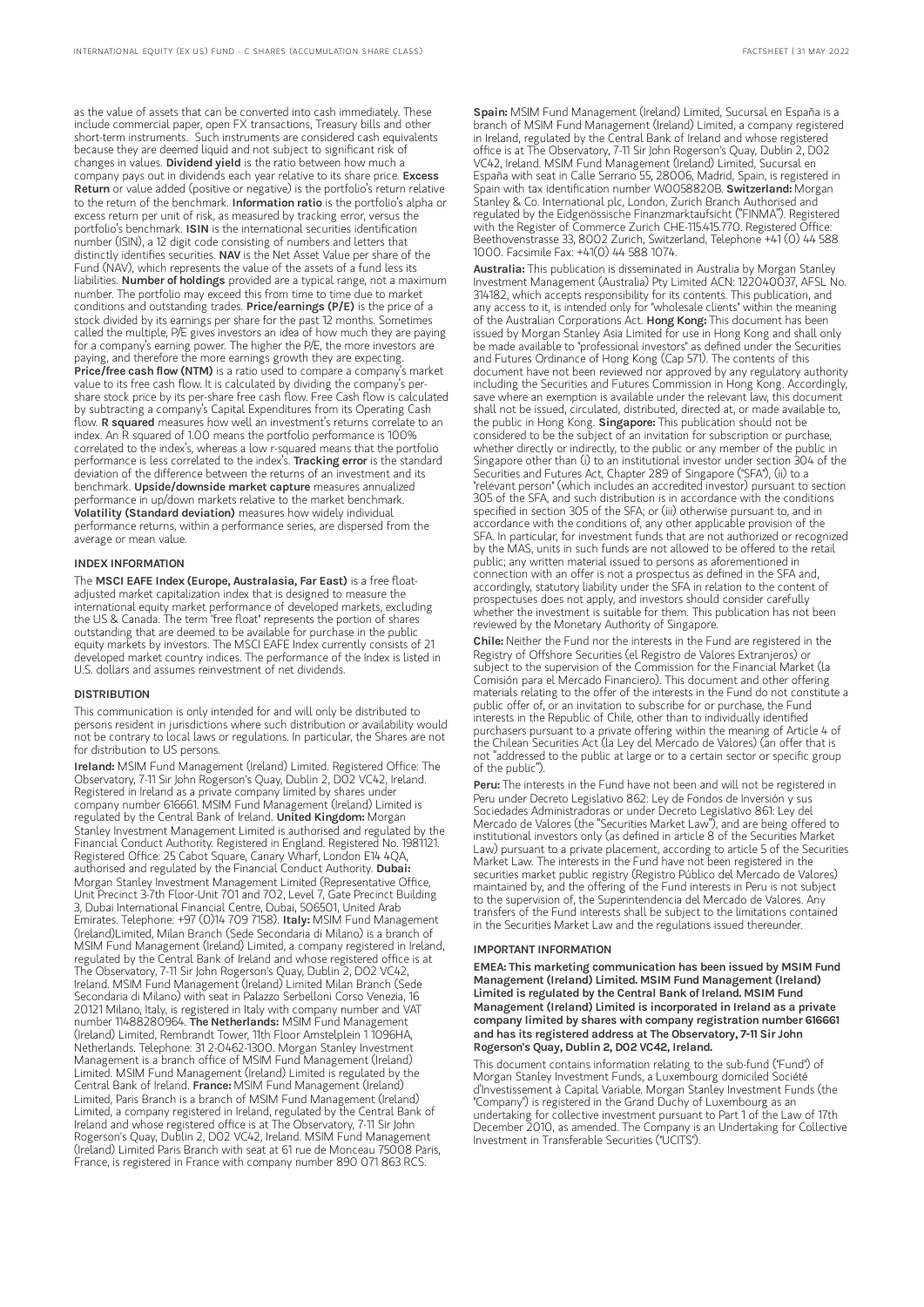as the value of assets that can be converted into cash immediately. These include commercial paper, open FX transactions, Treasury bills and other short-term instruments. Such instruments are considered cash equivalents because they are deemed liquid and not subject to significant risk of changes in values. Dividend yield is the ratio between how much a company pays out in dividends each year relative to its share price. Excess Return or value added (positive or negative) is the portfolio's return relative to the return of the benchmark. Information ratio is the portfolio's alpha or excess return per unit of risk, as measured by tracking error, versus the portfolio's benchmark. ISIN is the international securities identification number (ISIN), a 12 digit code consisting of numbers and letters that distinctly identifies securities. NAV is the Net Asset Value per share of the Fund (NAV), which represents the value of the assets of a fund less its liabilities. Number of holdings provided are a typical range, not a maximum number. The portfolio may exceed this from time to time due to market conditions and outstanding trades. Price/earnings (P/E) is the price of a stock divided by its earnings per share for the past 12 months. Sometimes called the multiple, P/E gives investors an idea of how much they are paying for a company's earning power. The higher the P/E, the more investors are paying, and therefore the more earnings growth they are expecting. Price/free cash flow (NTM) is a ratio used to compare a company's market value to its free cash flow. It is calculated by dividing the company's pershare stock price by its per-share free cash flow. Free Cash flow is calculated by subtracting a company's Capital Expenditures from its Operating Cash flow. R squared measures how well an investment's returns correlate to an index. An R squared of 1.00 means the portfolio performance is 100% correlated to the index's, whereas a low r-squared means that the portfolio performance is less correlated to the index's. Tracking error is the standard deviation of the difference between the returns of an investment and its benchmark. Upside/downside market capture measures annualized performance in up/down markets relative to the market benchmark. Volatility (Standard deviation) measures how widely individual

performance returns, within a performance series, are dispersed from the average or mean value.

### INDEX INFORMATION

The MSCI EAFE Index (Europe, Australasia, Far East) is a free floatadjusted market capitalization index that is designed to measure the international equity market performance of developed markets, excluding the US & Canada. The term "free float" represents the portion of shares outstanding that are deemed to be available for purchase in the public equity markets by investors. The MSCI EAFE Index currently consists of 21 developed market country indices. The performance of the Index is listed in U.S. dollars and assumes reinvestment of net dividends.

#### DISTRIBUTION

This communication is only intended for and will only be distributed to persons resident in jurisdictions where such distribution or availability would not be contrary to local laws or regulations. In particular, the Shares are not for distribution to US persons.

Ireland: MSIM Fund Management (Ireland) Limited. Registered Office: The Observatory, 7-11 Sir John Rogerson's Quay, Dublin 2, D02 VC42, Ireland. Registered in Ireland as a private company limited by shares under company number 616661. MSIM Fund Management (Ireland) Limited is regulated by the Central Bank of Ireland. United Kingdom: Morgan Stanley Investment Management Limited is authorised and regulated by the Financial Conduct Authority. Registered in England. Registered No. 1981121. Registered Office: 25 Cabot Square, Canary Wharf, London E14 4QA,<br>authorised and regulated by the Financial Conduct Authority. **Dubai:** Morgan Stanley Investment Management Limited (Representative Office, Unit Precinct 3-7th Floor-Unit 701 and 702, Level 7, Gate Precinct Building 3, Dubai International Financial Centre, Dubai, 506501, United Arab<br>Emirates. Telephone: +97 (0)14 709 7158). **Italy:** MSIM Fund Management (Ireland)Limited, Milan Branch (Sede Secondaria di Milano) is a branch of MSIM Fund Management (Ireland) Limited, a company registered in Ireland, regulated by the Central Bank of Ireland and whose registered office is at The Observatory, 7-11 Sir John Rogerson's Quay, Dublin 2, D02 VC42, Ireland. MSIM Fund Management (Ireland) Limited Milan Branch (Sede Secondaria di Milano) with seat in Palazzo Serbelloni Corso Venezia, 16 20121 Milano, Italy, is registered in Italy with company number and VAT number 11488280964. The Netherlands: MSIM Fund Management (Ireland) Limited, Rembrandt Tower, 11th Floor Amstelplein 1 1096HA, Netherlands. Telephone: 31 2-0462-1300. Morgan Stanley Investment Management is a branch office of MSIM Fund Management (Ireland) Limited. MSIM Fund Management (Ireland) Limited is regulated by the<br>Central Bank of Ireland. **France:** MSIM Fund Management (Ireland) Limited, Paris Branch is a branch of MSIM Fund Management (Ireland) Limited, a company registered in Ireland, regulated by the Central Bank of Ireland and whose registered office is at The Observatory, 7-11 Sir John Rogerson's Quay, Dublin 2, D02 VC42, Ireland. MSIM Fund Management (Ireland) Limited Paris Branch with seat at 61 rue de Monceau 75008 Paris, France, is registered in France with company number 890 071 863 RCS.

Spain: MSIM Fund Management (Ireland) Limited, Sucursal en España is a branch of MSIM Fund Management (Ireland) Limited, a company registered in Ireland, regulated by the Central Bank of Ireland and whose registered office is at The Observatory, 7-11 Sir John Rogerson's Quay, Dublin 2, D02 VC42, Ireland. MSIM Fund Management (Ireland) Limited, Sucursal en España with seat in Calle Serrano 55, 28006, Madrid, Spain, is registered in<br>Spain with tax identification number W0058820B. **SwitzerIand:** Morgan Stanley & Co. International plc, London, Zurich Branch Authorised and regulated by the Eidgenössische Finanzmarktaufsicht ("FINMA"). Registered with the Register of Commerce Zurich CHE-115.415.770. Registered Office: Beethovenstrasse 33, 8002 Zurich, Switzerland, Telephone +41 (0) 44 588 1000. Facsimile Fax: +41(0) 44 588 1074.

Australia: This publication is disseminated in Australia by Morgan Stanley Investment Management (Australia) Pty Limited ACN: 122040037, AFSL No. 314182, which accepts responsibility for its contents. This publication, and any access to it, is intended only for "wholesale clients" within the meaning of the Australian Corporations Act. Hong Kong: This document has been issued by Morgan Stanley Asia Limited for use in Hong Kong and shall only be made available to "professional investors" as defined under the Securities and Futures Ordinance of Hong Kong (Cap 571). The contents of this document have not been reviewed nor approved by any regulatory authority including the Securities and Futures Commission in Hong Kong. Accordingly, save where an exemption is available under the relevant law, this document shall not be issued, circulated, distributed, directed at, or made available to, the public in Hong Kong. Singapore: This publication should not be considered to be the subject of an invitation for subscription or purchase, whether directly or indirectly, to the public or any member of the public in Singapore other than (i) to an institutional investor under section 304 of the Securities and Futures Act, Chapter 289 of Singapore ("SFA"), (ii) to a "relevant person" (which includes an accredited investor) pursuant to section 305 of the SFA, and such distribution is in accordance with the conditions specified in section 305 of the SFA; or (iii) otherwise pursuant to, and in accordance with the conditions of, any other applicable provision of the SFA. In particular, for investment funds that are not authorized or recognized by the MAS, units in such funds are not allowed to be offered to the retail public; any written material issued to persons as aforementioned in connection with an offer is not a prospectus as defined in the SFA and, accordingly, statutory liability under the SFA in relation to the content of prospectuses does not apply, and investors should consider carefully whether the investment is suitable for them. This publication has not been reviewed by the Monetary Authority of Singapore.

Chile: Neither the Fund nor the interests in the Fund are registered in the Registry of Offshore Securities (el Registro de Valores Extranjeros) or subject to the supervision of the Commission for the Financial Market (la Comisión para el Mercado Financiero). This document and other offering materials relating to the offer of the interests in the Fund do not constitute a public offer of, or an invitation to subscribe for or purchase, the Fund interests in the Republic of Chile, other than to individually identified purchasers pursuant to a private offering within the meaning of Article 4 of the Chilean Securities Act (la Ley del Mercado de Valores) (an offer that is not "addressed to the public at large or to a certain sector or specific group of the public").

Peru: The interests in the Fund have not been and will not be registered in Peru under Decreto Legislativo 862: Ley de Fondos de Inversión y sus Sociedades Administradoras or under Decreto Legislativo 861: Ley del Mercado de Valores (the "Securities Market Law"), and are being offered to institutional investors only (as defined in article 8 of the Securities Market Law) pursuant to a private placement, according to article 5 of the Securities Market Law. The interests in the Fund have not been registered in the securities market public registry (Registro Público del Mercado de Valores) maintained by, and the offering of the Fund interests in Peru is not subject to the supervision of, the Superintendencia del Mercado de Valores. Any transfers of the Fund interests shall be subject to the limitations contained in the Securities Market Law and the regulations issued thereunder.

#### IMPORTANT INFORMATION

EMEA: This marketing communication has been issued by MSIM Fund Management (Ireland) Limited. MSIM Fund Management (Ireland) Limited is regulated by the Central Bank of Ireland. MSIM Fund Management (Ireland) Limited is incorporated in Ireland as a private company limited by shares with company registration number 616661 and has its registered address at The Observatory, 7-11 Sir John Rogerson's Quay, Dublin 2, D02 VC42, Ireland.

This document contains information relating to the sub-fund ("Fund") of Morgan Stanley Investment Funds, a Luxembourg domiciled Société d'Investissement à Capital Variable. Morgan Stanley Investment Funds (the "Company") is registered in the Grand Duchy of Luxembourg as an undertaking for collective investment pursuant to Part 1 of the Law of 17th December 2010, as amended. The Company is an Undertaking for Collective Investment in Transferable Securities ("UCITS").